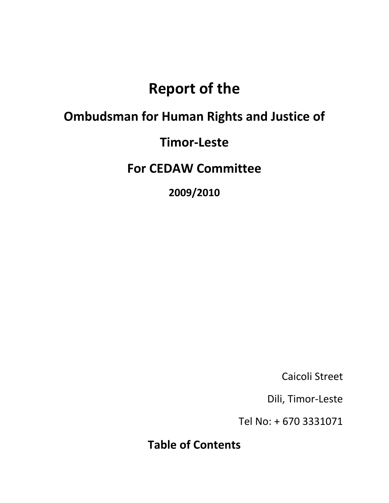# **Report of the**

## **Ombudsman for Human Rights and Justice of**

## **Timor‐Leste**

**For CEDAW Committee**

**2009/2010**

Caicoli Street

Dili, Timor‐Leste

Tel No: + 670 3331071

**Table of Contents**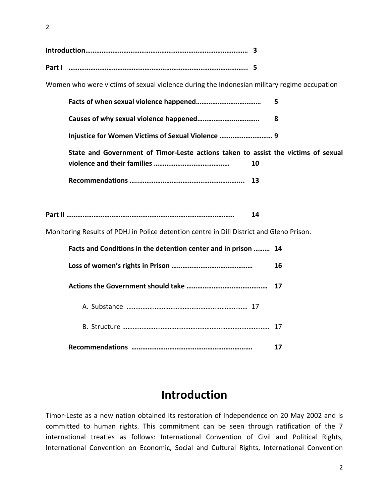2

| Part I |  |
|--------|--|

Women who were victims of sexual violence during the Indonesian military regime occupation

|                                                                                          | 5  |  |
|------------------------------------------------------------------------------------------|----|--|
|                                                                                          | 8  |  |
| Injustice for Women Victims of Sexual Violence  9                                        |    |  |
| State and Government of Timor-Leste actions taken to assist the victims of sexual<br>10  |    |  |
| 13                                                                                       |    |  |
|                                                                                          |    |  |
| 14                                                                                       |    |  |
| Monitoring Results of PDHJ in Police detention centre in Dili District and Gleno Prison. |    |  |
| Facts and Conditions in the detention center and in prison  14                           |    |  |
|                                                                                          | 16 |  |
|                                                                                          | 17 |  |
|                                                                                          |    |  |
|                                                                                          |    |  |
|                                                                                          | 17 |  |

## **Introduction**

Timor‐Leste as a new nation obtained its restoration of Independence on 20 May 2002 and is committed to human rights. This commitment can be seen through ratification of the 7 international treaties as follows: International Convention of Civil and Political Rights, International Convention on Economic, Social and Cultural Rights, International Convention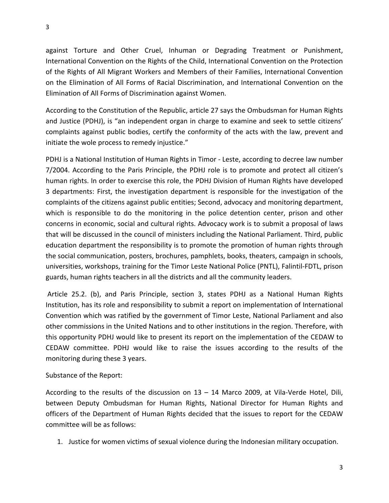against Torture and Other Cruel, Inhuman or Degrading Treatment or Punishment, International Convention on the Rights of the Child, International Convention on the Protection of the Rights of All Migrant Workers and Members of their Families, International Convention on the Elimination of All Forms of Racial Discrimination, and International Convention on the Elimination of All Forms of Discrimination against Women.

According to the Constitution of the Republic, article 27 says the Ombudsman for Human Rights and Justice (PDHJ), is "an independent organ in charge to examine and seek to settle citizens' complaints against public bodies, certify the conformity of the acts with the law, prevent and initiate the wole process to remedy injustice."

PDHJ is a National Institution of Human Rights in Timor ‐ Leste, according to decree law number 7/2004. According to the Paris Principle, the PDHJ role is to promote and protect all citizen's human rights. In order to exercise this role, the PDHJ Division of Human Rights have developed 3 departments: First, the investigation department is responsible for the investigation of the complaints of the citizens against public entities; Second, advocacy and monitoring department, which is responsible to do the monitoring in the police detention center, prison and other concerns in economic, social and cultural rights. Advocacy work is to submit a proposal of laws that will be discussed in the council of ministers including the National Parliament. Third, public education department the responsibility is to promote the promotion of human rights through the social communication, posters, brochures, pamphlets, books, theaters, campaign in schools, universities, workshops, training for the Timor Leste National Police (PNTL), Falintil‐FDTL, prison guards, human rights teachers in all the districts and all the community leaders.

Article 25.2. (b), and Paris Principle, section 3, states PDHJ as a National Human Rights Institution, has its role and responsibility to submit a report on implementation of International Convention which was ratified by the government of Timor Leste, National Parliament and also other commissions in the United Nations and to other institutions in the region. Therefore, with this opportunity PDHJ would like to present its report on the implementation of the CEDAW to CEDAW committee. PDHJ would like to raise the issues according to the results of the monitoring during these 3 years.

#### Substance of the Report:

According to the results of the discussion on 13 – 14 Marco 2009, at Vila‐Verde Hotel, Dili, between Deputy Ombudsman for Human Rights, National Director for Human Rights and officers of the Department of Human Rights decided that the issues to report for the CEDAW committee will be as follows:

1. Justice for women victims of sexual violence during the Indonesian military occupation.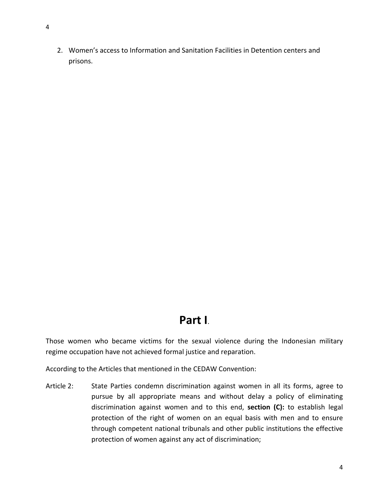2. Women's access to Information and Sanitation Facilities in Detention centers and prisons.

## **Part I**.

Those women who became victims for the sexual violence during the Indonesian military regime occupation have not achieved formal justice and reparation.

According to the Articles that mentioned in the CEDAW Convention:

Article 2: State Parties condemn discrimination against women in all its forms, agree to pursue by all appropriate means and without delay a policy of eliminating discrimination against women and to this end, **section (C):** to establish legal protection of the right of women on an equal basis with men and to ensure through competent national tribunals and other public institutions the effective protection of women against any act of discrimination;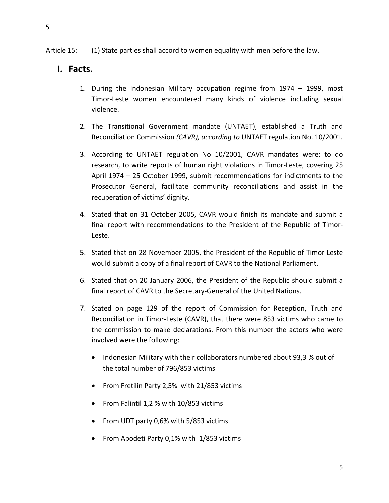#### **I. Facts.**

- 1. During the Indonesian Military occupation regime from 1974 1999, most Timor‐Leste women encountered many kinds of violence including sexual violence.
- 2. The Transitional Government mandate (UNTAET), established a Truth and Reconciliation Commission *(CAVR), according to* UNTAET regulation No. 10/2001.
- 3. According to UNTAET regulation No 10/2001, CAVR mandates were: to do research, to write reports of human right violations in Timor‐Leste, covering 25 April 1974 – 25 October 1999, submit recommendations for indictments to the Prosecutor General, facilitate community reconciliations and assist in the recuperation of victims' dignity.
- 4. Stated that on 31 October 2005, CAVR would finish its mandate and submit a final report with recommendations to the President of the Republic of Timor‐ Leste.
- 5. Stated that on 28 November 2005, the President of the Republic of Timor Leste would submit a copy of a final report of CAVR to the National Parliament.
- 6. Stated that on 20 January 2006, the President of the Republic should submit a final report of CAVR to the Secretary‐General of the United Nations.
- 7. Stated on page 129 of the report of Commission for Reception, Truth and Reconciliation in Timor‐Leste (CAVR), that there were 853 victims who came to the commission to make declarations. From this number the actors who were involved were the following:
	- Indonesian Military with their collaborators numbered about 93,3 % out of the total number of 796/853 victims
	- From Fretilin Party 2,5% with 21/853 victims
	- From Falintil 1,2 % with 10/853 victims
	- From UDT party 0,6% with 5/853 victims
	- From Apodeti Party 0,1% with 1/853 victims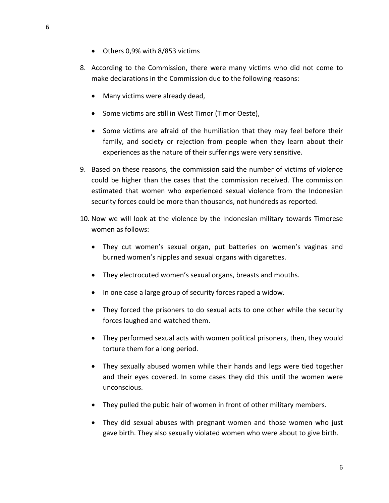- Others 0,9% with 8/853 victims
- 8. According to the Commission, there were many victims who did not come to make declarations in the Commission due to the following reasons:
	- Many victims were already dead,
	- Some victims are still in West Timor (Timor Oeste),
	- Some victims are afraid of the humiliation that they may feel before their family, and society or rejection from people when they learn about their experiences as the nature of their sufferings were very sensitive.
- 9. Based on these reasons, the commission said the number of victims of violence could be higher than the cases that the commission received. The commission estimated that women who experienced sexual violence from the Indonesian security forces could be more than thousands, not hundreds as reported.
- 10. Now we will look at the violence by the Indonesian military towards Timorese women as follows:
	- They cut women's sexual organ, put batteries on women's vaginas and burned women's nipples and sexual organs with cigarettes.
	- They electrocuted women's sexual organs, breasts and mouths.
	- In one case a large group of security forces raped a widow.
	- They forced the prisoners to do sexual acts to one other while the security forces laughed and watched them.
	- They performed sexual acts with women political prisoners, then, they would torture them for a long period.
	- They sexually abused women while their hands and legs were tied together and their eyes covered. In some cases they did this until the women were unconscious.
	- They pulled the pubic hair of women in front of other military members.
	- They did sexual abuses with pregnant women and those women who just gave birth. They also sexually violated women who were about to give birth.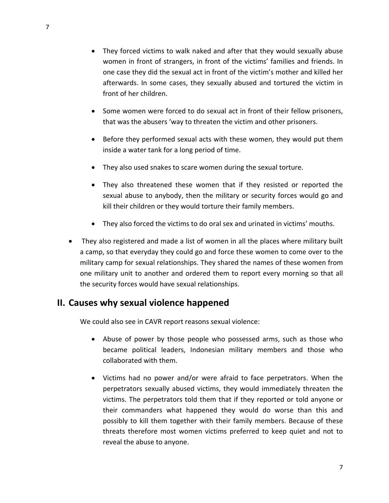- They forced victims to walk naked and after that they would sexually abuse women in front of strangers, in front of the victims' families and friends. In one case they did the sexual act in front of the victim's mother and killed her afterwards. In some cases, they sexually abused and tortured the victim in front of her children.
- Some women were forced to do sexual act in front of their fellow prisoners, that was the abusers 'way to threaten the victim and other prisoners.
- Before they performed sexual acts with these women, they would put them inside a water tank for a long period of time.
- They also used snakes to scare women during the sexual torture.
- They also threatened these women that if they resisted or reported the sexual abuse to anybody, then the military or security forces would go and kill their children or they would torture their family members.
- They also forced the victims to do oral sex and urinated in victims' mouths.
- They also registered and made a list of women in all the places where military built a camp, so that everyday they could go and force these women to come over to the military camp for sexual relationships. They shared the names of these women from one military unit to another and ordered them to report every morning so that all the security forces would have sexual relationships.

#### **II. Causes why sexual violence happened**

We could also see in CAVR report reasons sexual violence:

- Abuse of power by those people who possessed arms, such as those who became political leaders, Indonesian military members and those who collaborated with them.
- Victims had no power and/or were afraid to face perpetrators. When the perpetrators sexually abused victims, they would immediately threaten the victims. The perpetrators told them that if they reported or told anyone or their commanders what happened they would do worse than this and possibly to kill them together with their family members. Because of these threats therefore most women victims preferred to keep quiet and not to reveal the abuse to anyone.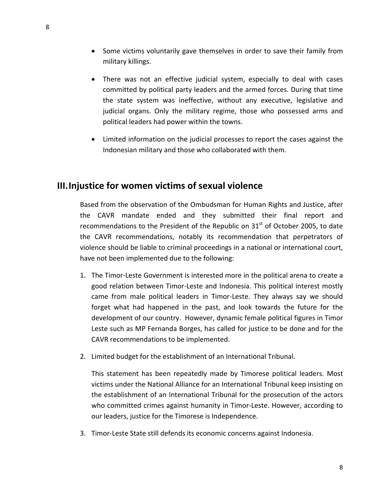- Some victims voluntarily gave themselves in order to save their family from military killings.
- There was not an effective judicial system, especially to deal with cases committed by political party leaders and the armed forces. During that time the state system was ineffective, without any executive, legislative and judicial organs. Only the military regime, those who possessed arms and political leaders had power within the towns.
- Limited information on the judicial processes to report the cases against the Indonesian military and those who collaborated with them.

#### **III.Injustice for women victims of sexual violence**

Based from the observation of the Ombudsman for Human Rights and Justice, after the CAVR mandate ended and they submitted their final report and recommendations to the President of the Republic on  $31<sup>st</sup>$  of October 2005, to date the CAVR recommendations, notably its recommendation that perpetrators of violence should be liable to criminal proceedings in a national or international court, have not been implemented due to the following:

- 1. The Timor‐Leste Government is interested more in the political arena to create a good relation between Timor‐Leste and Indonesia. This political interest mostly came from male political leaders in Timor-Leste. They always say we should forget what had happened in the past, and look towards the future for the development of our country. However, dynamic female political figures in Timor Leste such as MP Fernanda Borges, has called for justice to be done and for the CAVR recommendations to be implemented.
- 2. Limited budget for the establishment of an International Tribunal.

This statement has been repeatedly made by Timorese political leaders. Most victims under the National Alliance for an International Tribunal keep insisting on the establishment of an International Tribunal for the prosecution of the actors who committed crimes against humanity in Timor-Leste. However, according to our leaders, justice for the Timorese is Independence.

3. Timor‐Leste State still defends its economic concerns against Indonesia.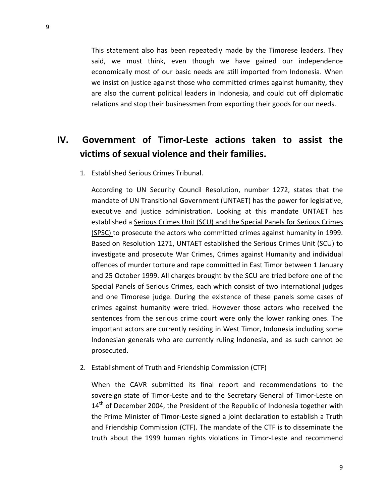This statement also has been repeatedly made by the Timorese leaders. They said, we must think, even though we have gained our independence economically most of our basic needs are still imported from Indonesia. When we insist on justice against those who committed crimes against humanity, they are also the current political leaders in Indonesia, and could cut off diplomatic relations and stop their businessmen from exporting their goods for our needs.

### **IV. Government of Timor‐Leste actions taken to assist the victims of sexual violence and their families.**

1. Established Serious Crimes Tribunal.

According to UN Security Council Resolution, number 1272, states that the mandate of UN Transitional Government (UNTAET) has the power for legislative, executive and justice administration. Looking at this mandate UNTAET has established a Serious Crimes Unit (SCU) and the Special Panels for Serious Crimes (SPSC) to prosecute the actors who committed crimes against humanity in 1999. Based on Resolution 1271, UNTAET established the Serious Crimes Unit (SCU) to investigate and prosecute War Crimes, Crimes against Humanity and individual offences of murder torture and rape committed in East Timor between 1 January and 25 October 1999. All charges brought by the SCU are tried before one of the Special Panels of Serious Crimes, each which consist of two international judges and one Timorese judge. During the existence of these panels some cases of crimes against humanity were tried. However those actors who received the sentences from the serious crime court were only the lower ranking ones. The important actors are currently residing in West Timor, Indonesia including some Indonesian generals who are currently ruling Indonesia, and as such cannot be prosecuted.

2. Establishment of Truth and Friendship Commission (CTF)

When the CAVR submitted its final report and recommendations to the sovereign state of Timor-Leste and to the Secretary General of Timor-Leste on  $14<sup>th</sup>$  of December 2004, the President of the Republic of Indonesia together with the Prime Minister of Timor‐Leste signed a joint declaration to establish a Truth and Friendship Commission (CTF). The mandate of the CTF is to disseminate the truth about the 1999 human rights violations in Timor‐Leste and recommend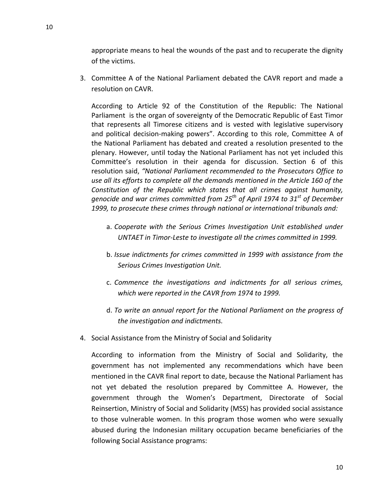appropriate means to heal the wounds of the past and to recuperate the dignity of the victims.

3. Committee A of the National Parliament debated the CAVR report and made a resolution on CAVR.

According to Article 92 of the Constitution of the Republic: The National Parliament is the organ of sovereignty of the Democratic Republic of East Timor that represents all Timorese citizens and is vested with legislative supervisory and political decision‐making powers". According to this role, Committee A of the National Parliament has debated and created a resolution presented to the plenary. However, until today the National Parliament has not yet included this Committee's resolution in their agenda for discussion. Section 6 of this resolution said, *"National Parliament recommended to the Prosecutors Office to use all its efforts to complete all the demands mentioned in the Article 160 of the Constitution of the Republic which states that all crimes against humanity, genocide and war crimes committed from 25th of April 1974 to 31st of December 1999, to prosecute these crimes through national or international tribunals and:*

- a. *Cooperate with the Serious Crimes Investigation Unit established under UNTAET in Timor‐Leste to investigate all the crimes committed in 1999.*
- b. *Issue indictments for crimes committed in 1999 with assistance from the Serious Crimes Investigation Unit.*
- c. *Commence the investigations and indictments for all serious crimes, which were reported in the CAVR from 1974 to 1999.*
- d. *To write an annual report for the National Parliament on the progress of the investigation and indictments.*
- 4. Social Assistance from the Ministry of Social and Solidarity

According to information from the Ministry of Social and Solidarity, the government has not implemented any recommendations which have been mentioned in the CAVR final report to date, because the National Parliament has not yet debated the resolution prepared by Committee A. However, the government through the Women's Department, Directorate of Social Reinsertion, Ministry of Social and Solidarity (MSS) has provided social assistance to those vulnerable women. In this program those women who were sexually abused during the Indonesian military occupation became beneficiaries of the following Social Assistance programs: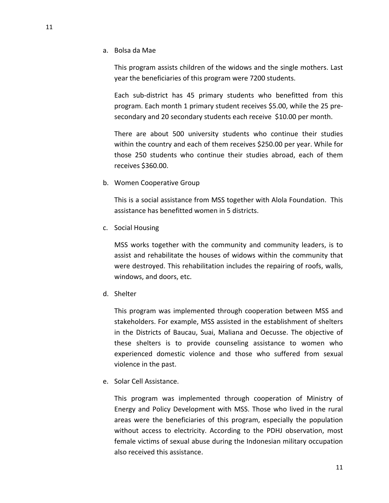a. Bolsa da Mae

This program assists children of the widows and the single mothers. Last year the beneficiaries of this program were 7200 students.

Each sub‐district has 45 primary students who benefitted from this program. Each month 1 primary student receives \$5.00, while the 25 pre‐ secondary and 20 secondary students each receive \$10.00 per month.

There are about 500 university students who continue their studies within the country and each of them receives \$250.00 per year. While for those 250 students who continue their studies abroad, each of them receives \$360.00.

b. Women Cooperative Group

This is a social assistance from MSS together with Alola Foundation. This assistance has benefitted women in 5 districts.

c. Social Housing

MSS works together with the community and community leaders, is to assist and rehabilitate the houses of widows within the community that were destroyed. This rehabilitation includes the repairing of roofs, walls, windows, and doors, etc.

d. Shelter

This program was implemented through cooperation between MSS and stakeholders. For example, MSS assisted in the establishment of shelters in the Districts of Baucau, Suai, Maliana and Oecusse. The objective of these shelters is to provide counseling assistance to women who experienced domestic violence and those who suffered from sexual violence in the past.

e. Solar Cell Assistance.

This program was implemented through cooperation of Ministry of Energy and Policy Development with MSS. Those who lived in the rural areas were the beneficiaries of this program, especially the population without access to electricity. According to the PDHJ observation, most female victims of sexual abuse during the Indonesian military occupation also received this assistance.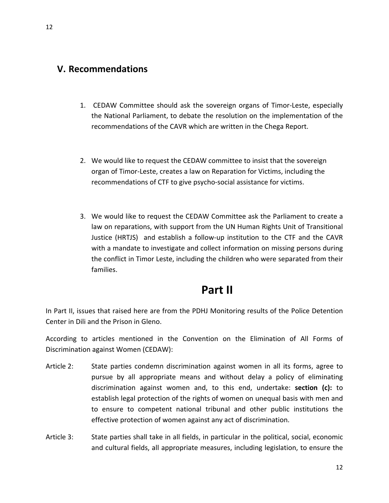#### **V. Recommendations**

- 1. CEDAW Committee should ask the sovereign organs of Timor‐Leste, especially the National Parliament, to debate the resolution on the implementation of the recommendations of the CAVR which are written in the Chega Report.
- 2. We would like to request the CEDAW committee to insist that the sovereign organ of Timor‐Leste, creates a law on Reparation for Victims, including the recommendations of CTF to give psycho‐social assistance for victims.
- 3. We would like to request the CEDAW Committee ask the Parliament to create a law on reparations, with support from the UN Human Rights Unit of Transitional Justice (HRTJS) and establish a follow‐up institution to the CTF and the CAVR with a mandate to investigate and collect information on missing persons during the conflict in Timor Leste, including the children who were separated from their families.

## **Part II**

In Part II, issues that raised here are from the PDHJ Monitoring results of the Police Detention Center in Dili and the Prison in Gleno.

According to articles mentioned in the Convention on the Elimination of All Forms of Discrimination against Women (CEDAW):

- Article 2: State parties condemn discrimination against women in all its forms, agree to pursue by all appropriate means and without delay a policy of eliminating discrimination against women and, to this end, undertake: **section (c):** to establish legal protection of the rights of women on unequal basis with men and to ensure to competent national tribunal and other public institutions the effective protection of women against any act of discrimination.
- Article 3: State parties shall take in all fields, in particular in the political, social, economic and cultural fields, all appropriate measures, including legislation, to ensure the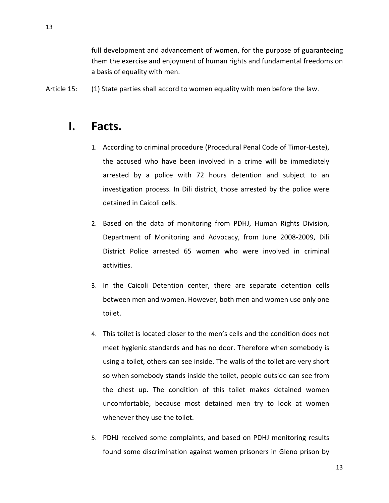full development and advancement of women, for the purpose of guaranteeing them the exercise and enjoyment of human rights and fundamental freedoms on a basis of equality with men.

Article 15: (1) State parties shall accord to women equality with men before the law.

## **I. Facts.**

- 1. According to criminal procedure (Procedural Penal Code of Timor‐Leste), the accused who have been involved in a crime will be immediately arrested by a police with 72 hours detention and subject to an investigation process. In Dili district, those arrested by the police were detained in Caicoli cells.
- 2. Based on the data of monitoring from PDHJ, Human Rights Division, Department of Monitoring and Advocacy, from June 2008‐2009, Dili District Police arrested 65 women who were involved in criminal activities.
- 3. In the Caicoli Detention center, there are separate detention cells between men and women. However, both men and women use only one toilet.
- 4. This toilet is located closer to the men's cells and the condition does not meet hygienic standards and has no door. Therefore when somebody is using a toilet, others can see inside. The walls of the toilet are very short so when somebody stands inside the toilet, people outside can see from the chest up. The condition of this toilet makes detained women uncomfortable, because most detained men try to look at women whenever they use the toilet.
- 5. PDHJ received some complaints, and based on PDHJ monitoring results found some discrimination against women prisoners in Gleno prison by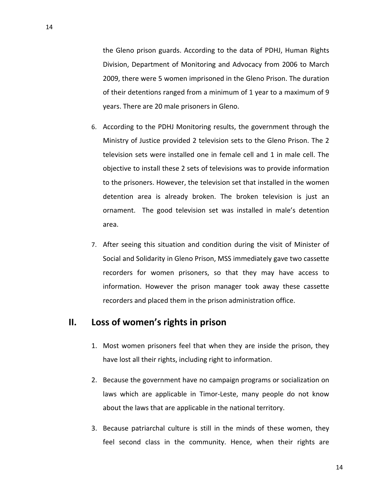the Gleno prison guards. According to the data of PDHJ, Human Rights Division, Department of Monitoring and Advocacy from 2006 to March 2009, there were 5 women imprisoned in the Gleno Prison. The duration of their detentions ranged from a minimum of 1 year to a maximum of 9 years. There are 20 male prisoners in Gleno.

- 6. According to the PDHJ Monitoring results, the government through the Ministry of Justice provided 2 television sets to the Gleno Prison. The 2 television sets were installed one in female cell and 1 in male cell. The objective to install these 2 sets of televisions was to provide information to the prisoners. However, the television set that installed in the women detention area is already broken. The broken television is just an ornament. The good television set was installed in male's detention area.
- 7. After seeing this situation and condition during the visit of Minister of Social and Solidarity in Gleno Prison, MSS immediately gave two cassette recorders for women prisoners, so that they may have access to information. However the prison manager took away these cassette recorders and placed them in the prison administration office.

#### **II. Loss of women's rights in prison**

- 1. Most women prisoners feel that when they are inside the prison, they have lost all their rights, including right to information.
- 2. Because the government have no campaign programs or socialization on laws which are applicable in Timor-Leste, many people do not know about the laws that are applicable in the national territory.
- 3. Because patriarchal culture is still in the minds of these women, they feel second class in the community. Hence, when their rights are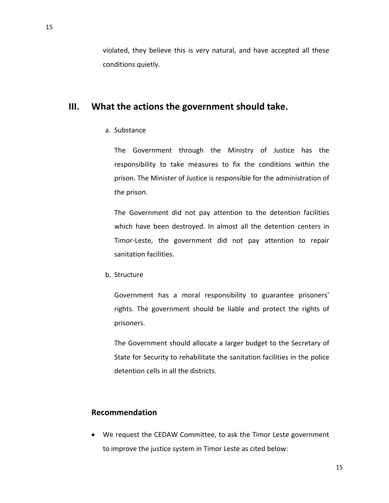violated, they believe this is very natural, and have accepted all these conditions quietly.

#### **III. What the actions the government should take.**

a. Substance

The Government through the Ministry of Justice has the responsibility to take measures to fix the conditions within the prison. The Minister of Justice is responsible for the administration of the prison.

The Government did not pay attention to the detention facilities which have been destroyed. In almost all the detention centers in Timor‐Leste, the government did not pay attention to repair sanitation facilities.

b. Structure

Government has a moral responsibility to guarantee prisoners' rights. The government should be liable and protect the rights of prisoners.

The Government should allocate a larger budget to the Secretary of State for Security to rehabilitate the sanitation facilities in the police detention cells in all the districts.

#### **Recommendation**

• We request the CEDAW Committee, to ask the Timor Leste government to improve the justice system in Timor Leste as cited below: